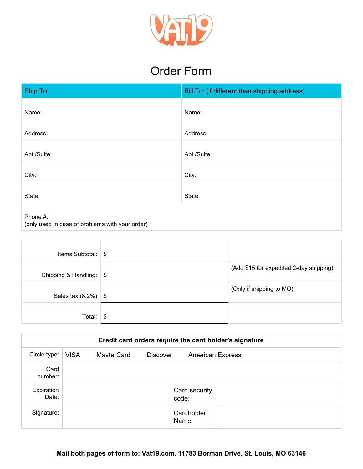

## Order Form

| Ship To:                                                    | Bill To: (if different than shipping address) |  |  |  |
|-------------------------------------------------------------|-----------------------------------------------|--|--|--|
| Name:                                                       | Name:                                         |  |  |  |
| Address:                                                    | Address:                                      |  |  |  |
| Apt./Suite:                                                 | Apt./Suite:                                   |  |  |  |
| City:                                                       | City:                                         |  |  |  |
| State:                                                      | State:                                        |  |  |  |
| Phone #:<br>(only used in case of problems with your order) |                                               |  |  |  |

| Items Subtotal:          | \$            |                                         |
|--------------------------|---------------|-----------------------------------------|
| Shipping & Handling:     | \$            | (Add \$15 for expedited 2-day shipping) |
| Sales tax $(8.2\%)$ \ \$ |               | (Only if shipping to MO)                |
| Total:                   | $\frac{1}{2}$ |                                         |

|                     | Credit card orders require the card holder's signature |            |                 |                         |  |
|---------------------|--------------------------------------------------------|------------|-----------------|-------------------------|--|
| Circle type:        | <b>VISA</b>                                            | MasterCard | <b>Discover</b> | <b>American Express</b> |  |
| Card<br>number:     |                                                        |            |                 |                         |  |
| Expiration<br>Date: |                                                        |            |                 | Card security<br>code:  |  |
| Signature:          |                                                        |            |                 | Cardholder<br>Name:     |  |